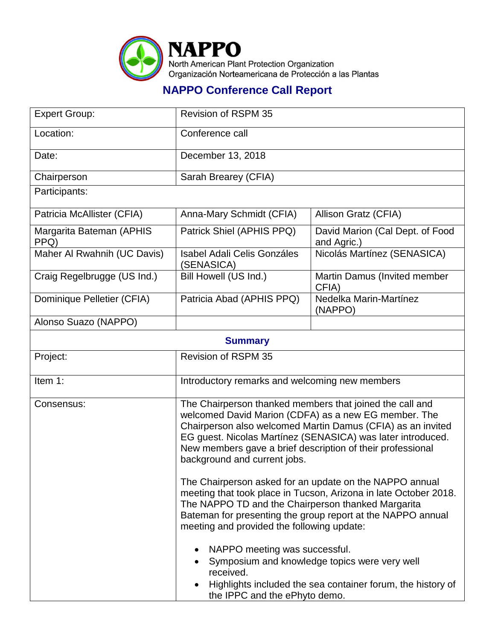

## **NAPPO Conference Call Report**

| Conference call                                                                                                                                                                                                                                                                                                                                                                                                                                                                                                                                                                                                                                                                                                                                                                                              |                                                |  |  |  |  |
|--------------------------------------------------------------------------------------------------------------------------------------------------------------------------------------------------------------------------------------------------------------------------------------------------------------------------------------------------------------------------------------------------------------------------------------------------------------------------------------------------------------------------------------------------------------------------------------------------------------------------------------------------------------------------------------------------------------------------------------------------------------------------------------------------------------|------------------------------------------------|--|--|--|--|
|                                                                                                                                                                                                                                                                                                                                                                                                                                                                                                                                                                                                                                                                                                                                                                                                              |                                                |  |  |  |  |
| December 13, 2018                                                                                                                                                                                                                                                                                                                                                                                                                                                                                                                                                                                                                                                                                                                                                                                            |                                                |  |  |  |  |
| Sarah Brearey (CFIA)                                                                                                                                                                                                                                                                                                                                                                                                                                                                                                                                                                                                                                                                                                                                                                                         |                                                |  |  |  |  |
|                                                                                                                                                                                                                                                                                                                                                                                                                                                                                                                                                                                                                                                                                                                                                                                                              |                                                |  |  |  |  |
| Anna-Mary Schmidt (CFIA)                                                                                                                                                                                                                                                                                                                                                                                                                                                                                                                                                                                                                                                                                                                                                                                     | Allison Gratz (CFIA)                           |  |  |  |  |
| Patrick Shiel (APHIS PPQ)                                                                                                                                                                                                                                                                                                                                                                                                                                                                                                                                                                                                                                                                                                                                                                                    | David Marion (Cal Dept. of Food<br>and Agric.) |  |  |  |  |
| <b>Isabel Adali Celis Gonzáles</b><br>(SENASICA)                                                                                                                                                                                                                                                                                                                                                                                                                                                                                                                                                                                                                                                                                                                                                             | Nicolás Martínez (SENASICA)                    |  |  |  |  |
| Bill Howell (US Ind.)                                                                                                                                                                                                                                                                                                                                                                                                                                                                                                                                                                                                                                                                                                                                                                                        | Martin Damus (Invited member<br>CFIA)          |  |  |  |  |
| Patricia Abad (APHIS PPQ)                                                                                                                                                                                                                                                                                                                                                                                                                                                                                                                                                                                                                                                                                                                                                                                    | Nedelka Marin-Martínez<br>(NAPPO)              |  |  |  |  |
|                                                                                                                                                                                                                                                                                                                                                                                                                                                                                                                                                                                                                                                                                                                                                                                                              |                                                |  |  |  |  |
| <b>Summary</b>                                                                                                                                                                                                                                                                                                                                                                                                                                                                                                                                                                                                                                                                                                                                                                                               |                                                |  |  |  |  |
| <b>Revision of RSPM 35</b>                                                                                                                                                                                                                                                                                                                                                                                                                                                                                                                                                                                                                                                                                                                                                                                   |                                                |  |  |  |  |
| Introductory remarks and welcoming new members                                                                                                                                                                                                                                                                                                                                                                                                                                                                                                                                                                                                                                                                                                                                                               |                                                |  |  |  |  |
| The Chairperson thanked members that joined the call and<br>welcomed David Marion (CDFA) as a new EG member. The<br>Chairperson also welcomed Martin Damus (CFIA) as an invited<br>EG guest. Nicolas Martínez (SENASICA) was later introduced.<br>New members gave a brief description of their professional<br>background and current jobs.<br>The Chairperson asked for an update on the NAPPO annual<br>meeting that took place in Tucson, Arizona in late October 2018.<br>The NAPPO TD and the Chairperson thanked Margarita<br>Bateman for presenting the group report at the NAPPO annual<br>meeting and provided the following update:<br>NAPPO meeting was successful.<br>Symposium and knowledge topics were very well<br>received.<br>Highlights included the sea container forum, the history of |                                                |  |  |  |  |
|                                                                                                                                                                                                                                                                                                                                                                                                                                                                                                                                                                                                                                                                                                                                                                                                              | the IPPC and the ePhyto demo.                  |  |  |  |  |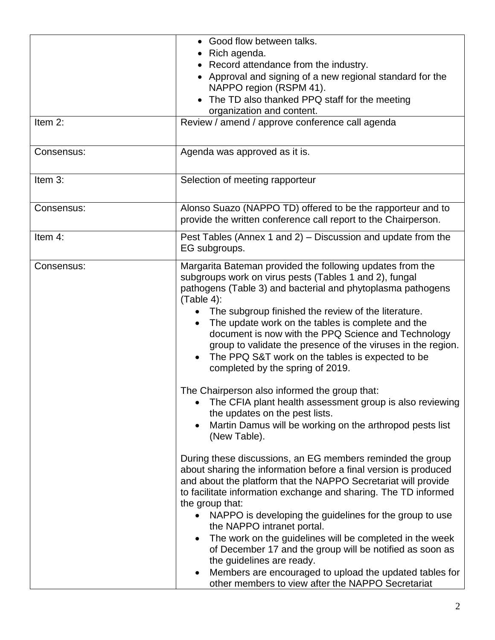|            | • Good flow between talks.                                                    |  |  |
|------------|-------------------------------------------------------------------------------|--|--|
|            | Rich agenda.                                                                  |  |  |
|            | • Record attendance from the industry.                                        |  |  |
|            | • Approval and signing of a new regional standard for the                     |  |  |
|            | NAPPO region (RSPM 41).                                                       |  |  |
|            | The TD also thanked PPQ staff for the meeting                                 |  |  |
|            | organization and content.                                                     |  |  |
| Item 2:    | Review / amend / approve conference call agenda                               |  |  |
|            |                                                                               |  |  |
| Consensus: | Agenda was approved as it is.                                                 |  |  |
| Item 3:    | Selection of meeting rapporteur                                               |  |  |
| Consensus: | Alonso Suazo (NAPPO TD) offered to be the rapporteur and to                   |  |  |
|            | provide the written conference call report to the Chairperson.                |  |  |
| Item 4:    | Pest Tables (Annex 1 and 2) – Discussion and update from the<br>EG subgroups. |  |  |
| Consensus: | Margarita Bateman provided the following updates from the                     |  |  |
|            | subgroups work on virus pests (Tables 1 and 2), fungal                        |  |  |
|            | pathogens (Table 3) and bacterial and phytoplasma pathogens                   |  |  |
|            | $(Table 4)$ :                                                                 |  |  |
|            | The subgroup finished the review of the literature.                           |  |  |
|            | The update work on the tables is complete and the                             |  |  |
|            | document is now with the PPQ Science and Technology                           |  |  |
|            | group to validate the presence of the viruses in the region.                  |  |  |
|            | The PPQ S&T work on the tables is expected to be                              |  |  |
|            | completed by the spring of 2019.                                              |  |  |
|            | The Chairperson also informed the group that:                                 |  |  |
|            | The CFIA plant health assessment group is also reviewing                      |  |  |
|            | the updates on the pest lists.                                                |  |  |
|            | Martin Damus will be working on the arthropod pests list                      |  |  |
|            | (New Table).                                                                  |  |  |
|            | During these discussions, an EG members reminded the group                    |  |  |
|            | about sharing the information before a final version is produced              |  |  |
|            | and about the platform that the NAPPO Secretariat will provide                |  |  |
|            | to facilitate information exchange and sharing. The TD informed               |  |  |
|            | the group that:                                                               |  |  |
|            | NAPPO is developing the guidelines for the group to use                       |  |  |
|            | the NAPPO intranet portal.                                                    |  |  |
|            | The work on the guidelines will be completed in the week                      |  |  |
|            | of December 17 and the group will be notified as soon as                      |  |  |
|            | the guidelines are ready.                                                     |  |  |
|            | Members are encouraged to upload the updated tables for                       |  |  |
|            | other members to view after the NAPPO Secretariat                             |  |  |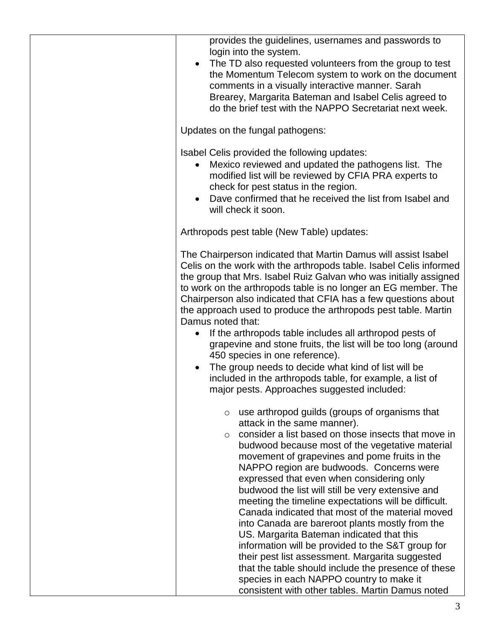| provides the guidelines, usernames and passwords to<br>login into the system.<br>The TD also requested volunteers from the group to test<br>the Momentum Telecom system to work on the document<br>comments in a visually interactive manner. Sarah<br>Brearey, Margarita Bateman and Isabel Celis agreed to<br>do the brief test with the NAPPO Secretariat next week.                                                                                                                                                                                                                                                                                                                                                                                                                                                                                                                 |
|-----------------------------------------------------------------------------------------------------------------------------------------------------------------------------------------------------------------------------------------------------------------------------------------------------------------------------------------------------------------------------------------------------------------------------------------------------------------------------------------------------------------------------------------------------------------------------------------------------------------------------------------------------------------------------------------------------------------------------------------------------------------------------------------------------------------------------------------------------------------------------------------|
| Updates on the fungal pathogens:                                                                                                                                                                                                                                                                                                                                                                                                                                                                                                                                                                                                                                                                                                                                                                                                                                                        |
| Isabel Celis provided the following updates:<br>Mexico reviewed and updated the pathogens list. The<br>$\bullet$<br>modified list will be reviewed by CFIA PRA experts to<br>check for pest status in the region.<br>Dave confirmed that he received the list from Isabel and<br>$\bullet$<br>will check it soon.                                                                                                                                                                                                                                                                                                                                                                                                                                                                                                                                                                       |
| Arthropods pest table (New Table) updates:                                                                                                                                                                                                                                                                                                                                                                                                                                                                                                                                                                                                                                                                                                                                                                                                                                              |
| The Chairperson indicated that Martin Damus will assist Isabel<br>Celis on the work with the arthropods table. Isabel Celis informed<br>the group that Mrs. Isabel Ruiz Galvan who was initially assigned<br>to work on the arthropods table is no longer an EG member. The<br>Chairperson also indicated that CFIA has a few questions about<br>the approach used to produce the arthropods pest table. Martin<br>Damus noted that:<br>If the arthropods table includes all arthropod pests of<br>$\bullet$<br>grapevine and stone fruits, the list will be too long (around<br>450 species in one reference).<br>The group needs to decide what kind of list will be<br>$\bullet$<br>included in the arthropods table, for example, a list of<br>major pests. Approaches suggested included:                                                                                          |
| use arthropod guilds (groups of organisms that<br>$\circ$<br>attack in the same manner).<br>consider a list based on those insects that move in<br>$\circ$<br>budwood because most of the vegetative material<br>movement of grapevines and pome fruits in the<br>NAPPO region are budwoods. Concerns were<br>expressed that even when considering only<br>budwood the list will still be very extensive and<br>meeting the timeline expectations will be difficult.<br>Canada indicated that most of the material moved<br>into Canada are bareroot plants mostly from the<br>US. Margarita Bateman indicated that this<br>information will be provided to the S&T group for<br>their pest list assessment. Margarita suggested<br>that the table should include the presence of these<br>species in each NAPPO country to make it<br>consistent with other tables. Martin Damus noted |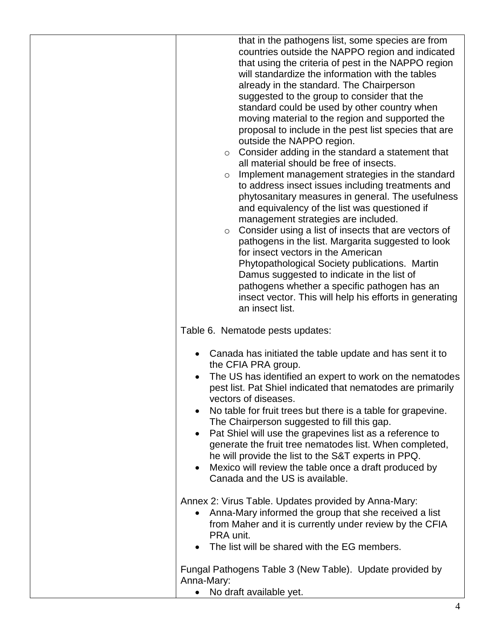| that in the pathogens list, some species are from<br>countries outside the NAPPO region and indicated<br>that using the criteria of pest in the NAPPO region<br>will standardize the information with the tables<br>already in the standard. The Chairperson<br>suggested to the group to consider that the<br>standard could be used by other country when<br>moving material to the region and supported the<br>proposal to include in the pest list species that are<br>outside the NAPPO region.<br>Consider adding in the standard a statement that<br>$\circ$<br>all material should be free of insects.<br>Implement management strategies in the standard<br>$\circ$<br>to address insect issues including treatments and<br>phytosanitary measures in general. The usefulness<br>and equivalency of the list was questioned if<br>management strategies are included.<br>Consider using a list of insects that are vectors of<br>$\circ$<br>pathogens in the list. Margarita suggested to look<br>for insect vectors in the American<br>Phytopathological Society publications. Martin<br>Damus suggested to indicate in the list of<br>pathogens whether a specific pathogen has an<br>insect vector. This will help his efforts in generating<br>an insect list. |
|-----------------------------------------------------------------------------------------------------------------------------------------------------------------------------------------------------------------------------------------------------------------------------------------------------------------------------------------------------------------------------------------------------------------------------------------------------------------------------------------------------------------------------------------------------------------------------------------------------------------------------------------------------------------------------------------------------------------------------------------------------------------------------------------------------------------------------------------------------------------------------------------------------------------------------------------------------------------------------------------------------------------------------------------------------------------------------------------------------------------------------------------------------------------------------------------------------------------------------------------------------------------------------|
| Table 6. Nematode pests updates:<br>Canada has initiated the table update and has sent it to<br>the CFIA PRA group.<br>The US has identified an expert to work on the nematodes<br>$\bullet$<br>pest list. Pat Shiel indicated that nematodes are primarily<br>vectors of diseases.<br>No table for fruit trees but there is a table for grapevine.<br>The Chairperson suggested to fill this gap.<br>Pat Shiel will use the grapevines list as a reference to<br>$\bullet$<br>generate the fruit tree nematodes list. When completed,<br>he will provide the list to the S&T experts in PPQ.<br>Mexico will review the table once a draft produced by<br>$\bullet$<br>Canada and the US is available.                                                                                                                                                                                                                                                                                                                                                                                                                                                                                                                                                                      |
| Annex 2: Virus Table. Updates provided by Anna-Mary:<br>Anna-Mary informed the group that she received a list<br>$\bullet$<br>from Maher and it is currently under review by the CFIA<br>PRA unit.<br>The list will be shared with the EG members.                                                                                                                                                                                                                                                                                                                                                                                                                                                                                                                                                                                                                                                                                                                                                                                                                                                                                                                                                                                                                          |
| Fungal Pathogens Table 3 (New Table). Update provided by<br>Anna-Mary:<br>No draft available yet.                                                                                                                                                                                                                                                                                                                                                                                                                                                                                                                                                                                                                                                                                                                                                                                                                                                                                                                                                                                                                                                                                                                                                                           |